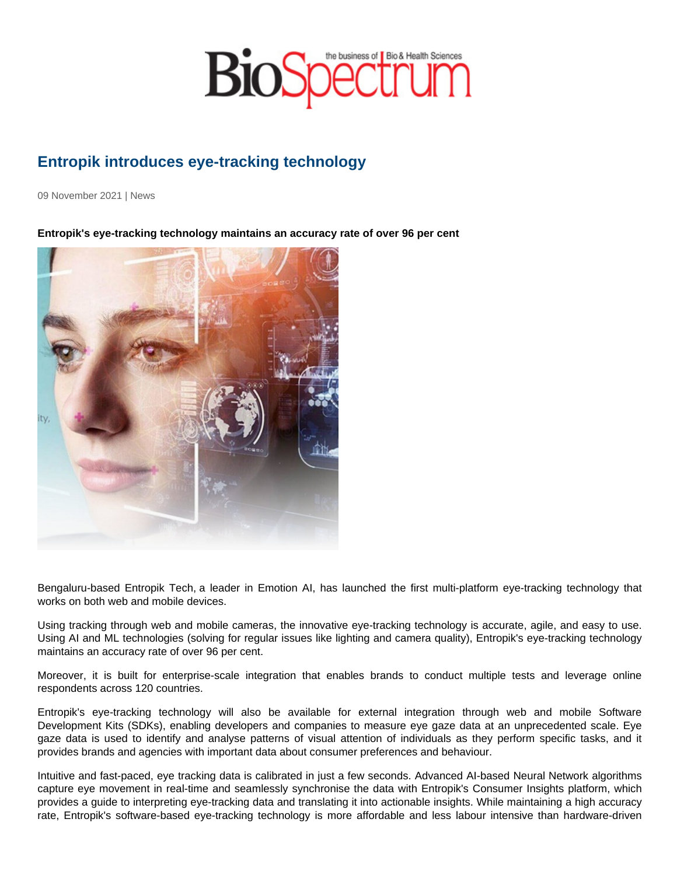## Entropik introduces eye-tracking technology

09 November 2021 | News

Entropik's eye-tracking technology maintains an accuracy rate of over 96 per cent

Bengaluru-based Entropik Tech, a leader in Emotion AI, has launched the first multi-platform eye-tracking technology that works on both web and mobile devices.

Using tracking through web and mobile cameras, the innovative eye-tracking technology is accurate, agile, and easy to use. Using AI and ML technologies (solving for regular issues like lighting and camera quality), Entropik's eye-tracking technology maintains an accuracy rate of over 96 per cent.

Moreover, it is built for enterprise-scale integration that enables brands to conduct multiple tests and leverage online respondents across 120 countries.

Entropik's eye-tracking technology will also be available for external integration through web and mobile Software Development Kits (SDKs), enabling developers and companies to measure eye gaze data at an unprecedented scale. Eye gaze data is used to identify and analyse patterns of visual attention of individuals as they perform specific tasks, and it provides brands and agencies with important data about consumer preferences and behaviour.

Intuitive and fast-paced, eye tracking data is calibrated in just a few seconds. Advanced AI-based Neural Network algorithms capture eye movement in real-time and seamlessly synchronise the data with Entropik's Consumer Insights platform, which provides a guide to interpreting eye-tracking data and translating it into actionable insights. While maintaining a high accuracy rate, Entropik's software-based eye-tracking technology is more affordable and less labour intensive than hardware-driven